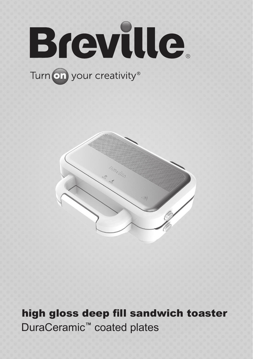

# Turn on your creativity®



high gloss deep fill sandwich toaster DuraCeramic**™** coated plates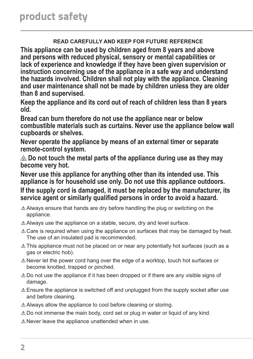#### **READ CAREFULLY AND KEEP FOR FUTURE REFERENCE**

**This appliance can be used by children aged from 8 years and above and persons with reduced physical, sensory or mental capabilities or lack of experience and knowledge if they have been given supervision or instruction concerning use of the appliance in a safe way and understand the hazards involved. Children shall not play with the appliance. Cleaning and user maintenance shall not be made by children unless they are older than 8 and supervised.**

**Keep the appliance and its cord out of reach of children less than 8 years old.**

**Bread can burn therefore do not use the appliance near or below combustible materials such as curtains. Never use the appliance below wall cupboards or shelves.**

**Never operate the appliance by means of an external timer or separate remote-control system.**

 **Do not touch the metal parts of the appliance during use as they may become very hot.**

**Never use this appliance for anything other than its intended use. This appliance is for household use only. Do not use this appliance outdoors.**

**If the supply cord is damaged, it must be replaced by the manufacturer, its service agent or similarly qualified persons in order to avoid a hazard.**

- $\triangle$  Always ensure that hands are dry before handling the plug or switching on the appliance.
- $\triangle$  Always use the appliance on a stable, secure, dry and level surface.
- $\triangle$  Care is required when using the appliance on surfaces that may be damaged by heat. The use of an insulated pad is recommended.
- $\triangle$  This appliance must not be placed on or near any potentially hot surfaces (such as a gas or electric hob).
- $\triangle$  Never let the power cord hang over the edge of a worktop, touch hot surfaces or become knotted, trapped or pinched.
- $\triangle$  Do not use the appliance if it has been dropped or if there are any visible signs of damage.
- $\triangle$  Ensure the appliance is switched off and unplugged from the supply socket after use and before cleaning.
- $\triangle$  Always allow the appliance to cool before cleaning or storing.
- $\triangle$  Do not immerse the main body, cord set or plug in water or liquid of any kind.
- $\triangle$  Never leave the appliance unattended when in use.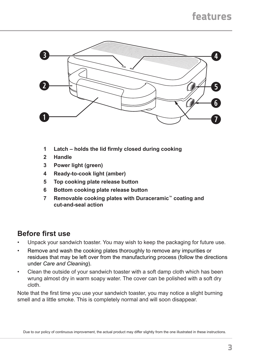# features



- **1 Latch – holds the lid firmly closed during cooking**
- **2 Handle**
- **3 Power light (green)**
- **4 Ready-to-cook light (amber)**
- **5 Top cooking plate release button**
- **6 Bottom cooking plate release button**
- **7 Removable cooking plates with Duraceramic™ coating and cut‑and‑seal action**

## **Before first use**

- Unpack your sandwich toaster. You may wish to keep the packaging for future use.
- Remove and wash the cooking plates thoroughly to remove any impurities or residues that may be left over from the manufacturing process (follow the directions under *Care and Cleaning*).
- Clean the outside of your sandwich toaster with a soft damp cloth which has been wrung almost dry in warm soapy water. The cover can be polished with a soft dry cloth.

Note that the first time you use your sandwich toaster, you may notice a slight burning smell and a little smoke. This is completely normal and will soon disappear.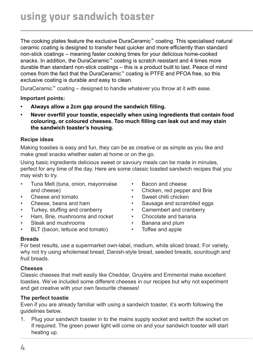The cooking plates feature the exclusive DuraCeramic™ coating. This specialised natural ceramic coating is designed to transfer heat quicker and more efficiently than standard non-stick coatings – meaning faster cooking times for your delicious home-cooked snacks. In addition, the DuraCeramic™ coating is scratch resistant and 4 times more durable than standard non-stick coatings – this is a product built to last. Peace of mind comes from the fact that the DuraCeramic™ coating is PTFE and PFOA free, so this exclusive coating is durable *and* easy to clean.

DuraCeramic**™** coating – designed to handle whatever you throw at it with ease.

**Important points:**

- **• Always allow a 2cm gap around the sandwich filling.**
- **• Never overfill your toastie, especially when using ingredients that contain food colouring, or coloured cheeses. Too much filling can leak out and may stain the sandwich toaster's housing.**

#### **Recipe ideas**

Making toasties is easy and fun, they can be as creative or as simple as you like and make great snacks whether eaten at home or on the go.

Using basic ingredients delicious sweet or savoury meals can be made in minutes, perfect for any time of the day. Here are some classic toasted sandwich recipes that you may wish to try.

- Tuna Melt (tuna, onion, mayonnaise and cheese)
- Cheese and tomato
- Cheese, beans and ham
- Turkey, stuffing and cranberry
- Ham, Brie, mushrooms and rocket
- Steak and mushrooms
- BLT (bacon, lettuce and tomato)
- Bacon and cheese
- Chicken, red pepper and Brie
- Sweet chilli chicken
- Sausage and scrambled eggs
- Camembert and cranberry
- Chocolate and banana
- Banana and plum
- Toffee and apple

#### **Breads**

For best results, use a supermarket own-label, medium, white sliced bread. For variety, why not try using wholemeal bread, Danish-style bread, seeded breads, sourdough and fruit breads.

#### **Cheeses**

Classic cheeses that melt easily like Cheddar, Gruyère and Emmental make excellent toasties. We've included some different cheeses in our recipes but why not experiment and get creative with your own favourite cheeses!

#### **The perfect toastie**

Even if you are already familiar with using a sandwich toaster, it's worth following the guidelines below.

1. Plug your sandwich toaster in to the mains supply socket and switch the socket on if required. The green power light will come on and your sandwich toaster will start heating up.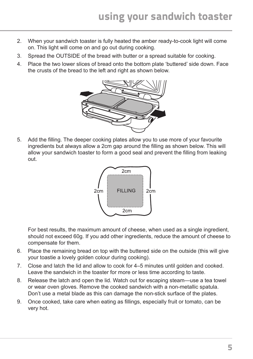- 2. When your sandwich toaster is fully heated the amber ready-to-cook light will come on. This light will come on and go out during cooking.
- 3. Spread the OUTSIDE of the bread with butter or a spread suitable for cooking.
- 4. Place the two lower slices of bread onto the bottom plate 'buttered' side down. Face the crusts of the bread to the left and right as shown below.



5. Add the filling. The deeper cooking plates allow you to use more of your favourite ingredients but always allow a 2cm gap around the filling as shown below. This will allow your sandwich toaster to form a good seal and prevent the filling from leaking out.



For best results, the maximum amount of cheese, when used as a single ingredient, should not exceed 60g. If you add other ingredients, reduce the amount of cheese to compensate for them.

- 6. Place the remaining bread on top with the buttered side on the outside (this will give your toastie a lovely golden colour during cooking).
- 7. Close and latch the lid and allow to cook for 4–5 minutes until golden and cooked. Leave the sandwich in the toaster for more or less time according to taste.
- 8. Release the latch and open the lid. Watch out for escaping steam—use a tea towel or wear oven gloves. Remove the cooked sandwich with a non-metallic spatula. Don't use a metal blade as this can damage the non-stick surface of the plates.
- 9. Once cooked, take care when eating as fillings, especially fruit or tomato, can be very hot.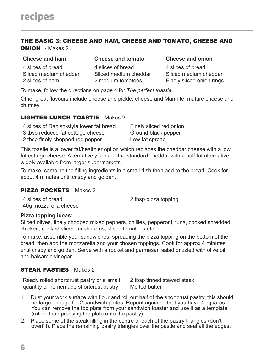#### THE BASIC 3: CHEESE AND HAM, CHEESE AND TOMATO, CHEESE AND ONION - Makes 2

#### **Cheese and ham Cheese and tomato Cheese and onion**

4 slices of bread Sliced medium cheddar 2 slices of ham

4 slices of bread Sliced medium cheddar 2 medium tomatoes

4 slices of bread Sliced medium cheddar Finely sliced onion rings

To make, follow the directions on page 4 for *The perfect toastie*.

Other great flavours include cheese and pickle, cheese and Marmite, mature cheese and chutney.

#### LIGHTER LUNCH TOASTIE - Makes 2

| 4 slices of Danish-style lower fat bread | Finely sliced red onion |
|------------------------------------------|-------------------------|
| 3 tbsp reduced fat cottage cheese        | Ground black pepper     |
| 2 tbsp finely chopped red pepper         | Low fat spread          |

This toastie is a lower fat/healthier option which replaces the cheddar cheese with a low fat cottage cheese. Alternatively replace the standard cheddar with a half fat alternative widely available from larger supermarkets.

To make, combine the filling ingredients in a small dish then add to the bread. Cook for about 4 minutes until crispy and golden.

#### PIZZA POCKETS - Makes 2

4 slices of bread 40g mozzarella cheese 2 tbsp pizza topping

#### **Pizza topping ideas:**

Sliced olives, finely chopped mixed peppers, chillies, pepperoni, tuna, cooked shredded chicken, cooked sliced mushrooms, sliced tomatoes etc.

To make, assemble your sandwiches, spreading the pizza topping on the bottom of the bread, then add the mozzarella and your chosen toppings. Cook for approx 4 minutes until crispy and golden. Serve with a rocket and parmesan salad drizzled with olive oil and balsamic vinegar.

#### STEAK PASTIES - Makes 2

Ready rolled shortcrust pastry or a small quantity of homemade shortcrust pastry

2 tbsp tinned stewed steak Melted butter

- 1. Dust your work surface with flour and roll out half of the shortcrust pastry, this should be large enough for 2 sandwich plates. Repeat again so that you have 4 squares. You can remove the top plate from your sandwich toaster and use it as a template (rather than pressing the plate onto the pastry).
- 2. Place some of the steak filling in the centre of each of the pastry triangles (don't overfill). Place the remaining pastry triangles over the pastie and seal all the edges.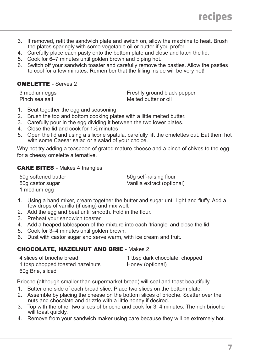- 3. If removed, refit the sandwich plate and switch on, allow the machine to heat. Brush the plates sparingly with some vegetable oil or butter if you prefer.
- 4. Carefully place each pasty onto the bottom plate and close and latch the lid.
- 5. Cook for 6–7 minutes until golden brown and piping hot.
- 6. Switch off your sandwich toaster and carefully remove the pasties. Allow the pasties to cool for a few minutes. Remember that the filling inside will be very hot!

### OMELETTE - Serves 2

3 medium eggs Pinch sea salt

Freshly ground black pepper Melted butter or oil

- 1. Beat together the egg and seasoning.
- 2. Brush the top and bottom cooking plates with a little melted butter.
- 3. Carefully pour in the egg dividing it between the two lower plates.
- 4. Close the lid and cook for 1½ minutes
- 5. Open the lid and using a silicone spatula, carefully lift the omelettes out. Eat them hot with some Caesar salad or a salad of your choice.

Why not try adding a teaspoon of grated mature cheese and a pinch of chives to the egg for a cheesy omelette alternative.

#### CAKE BITES - Makes 4 triangles

50g softened butter 50g castor sugar 1 medium egg

50g self-raising flour Vanilla extract (optional)

- 1. Using a hand mixer, cream together the butter and sugar until light and fluffy. Add a few drops of vanilla (if using) and mix well.
- 2. Add the egg and beat until smooth. Fold in the flour.
- 3. Preheat your sandwich toaster.
- 4. Add a heaped tablespoon of the mixture into each 'triangle' and close the lid.
- 5. Cook for 3–4 minutes until golden brown.
- 6. Dust with castor sugar and serve warm, with ice cream and fruit.

#### CHOCOLATE, HAZELNUT AND BRIE - Makes 2

| 4 slices of brioche bread        | 1 tbsp dark chocolate, chopped |
|----------------------------------|--------------------------------|
| 1 tbsp chopped toasted hazelnuts | Honey (optional)               |
| 60g Brie, sliced                 |                                |

Brioche (although smaller than supermarket bread) will seal and toast beautifully.

- 1. Butter one side of each bread slice. Place two slices on the bottom plate.
- 2. Assemble by placing the cheese on the bottom slices of brioche. Scatter over the nuts and chocolate and drizzle with a little honey if desired.
- 3. Top with the other two slices of brioche and cook for 3–4 minutes. The rich brioche will toast quickly.
- 4. Remove from your sandwich maker using care because they will be extremely hot.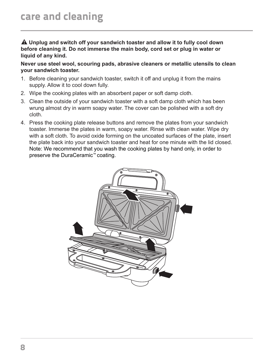**Unplug and switch off your sandwich toaster and allow it to fully cool down before cleaning it. Do not immerse the main body, cord set or plug in water or liquid of any kind.**

**Never use steel wool, scouring pads, abrasive cleaners or metallic utensils to clean your sandwich toaster.**

- 1. Before cleaning your sandwich toaster, switch it off and unplug it from the mains supply. Allow it to cool down fully.
- 2. Wipe the cooking plates with an absorbent paper or soft damp cloth.
- 3. Clean the outside of your sandwich toaster with a soft damp cloth which has been wrung almost dry in warm soapy water. The cover can be polished with a soft dry cloth.
- 4. Press the cooking plate release buttons and remove the plates from your sandwich toaster. Immerse the plates in warm, soapy water. Rinse with clean water. Wipe dry with a soft cloth. To avoid oxide forming on the uncoated surfaces of the plate, insert the plate back into your sandwich toaster and heat for one minute with the lid closed. Note: We recommend that you wash the cooking plates by hand only, in order to preserve the DuraCeramic™ coating.

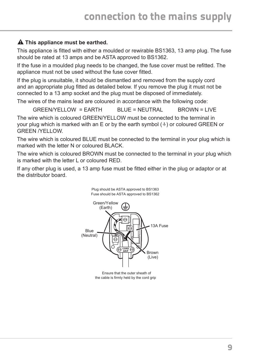#### **This appliance must be earthed.**

This appliance is fitted with either a moulded or rewirable BS1363, 13 amp plug. The fuse should be rated at 13 amps and be ASTA approved to BS1362.

If the fuse in a moulded plug needs to be changed, the fuse cover must be refitted. The appliance must not be used without the fuse cover fitted.

If the plug is unsuitable, it should be dismantled and removed from the supply cord and an appropriate plug fitted as detailed below. If you remove the plug it must not be connected to a 13 amp socket and the plug must be disposed of immediately.

The wires of the mains lead are coloured in accordance with the following code:

 $GRFEN/YFI I OW = FARTH$  BLUE = NEUTRAL BROWN = LIVE

The wire which is coloured GREEN/YELLOW must be connected to the terminal in your plug which is marked with an E or by the earth symbol  $(\frac{1}{2})$  or coloured GREEN or GREEN /YELLOW.

The wire which is coloured BLUE must be connected to the terminal in your plug which is marked with the letter N or coloured BLACK.

The wire which is coloured BROWN must be connected to the terminal in your plug which is marked with the letter L or coloured RED.

If any other plug is used, a 13 amp fuse must be fitted either in the plug or adaptor or at the distributor board.

Plug should be ASTA approved to BS1363



Ensure that the outer sheath of the cable is firmly held by the cord grip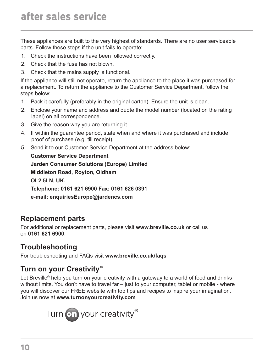These appliances are built to the very highest of standards. There are no user serviceable parts. Follow these steps if the unit fails to operate:

- 1. Check the instructions have been followed correctly.
- 2. Check that the fuse has not blown.
- 3. Check that the mains supply is functional.

If the appliance will still not operate, return the appliance to the place it was purchased for a replacement. To return the appliance to the Customer Service Department, follow the steps below:

- 1. Pack it carefully (preferably in the original carton). Ensure the unit is clean.
- 2. Enclose your name and address and quote the model number (located on the rating label) on all correspondence.
- 3. Give the reason why you are returning it.
- 4. If within the guarantee period, state when and where it was purchased and include proof of purchase (e.g. till receipt).
- 5. Send it to our Customer Service Department at the address below:

**Customer Service Department Jarden Consumer Solutions (Europe) Limited Middleton Road, Royton, Oldham OL2 5LN, UK. Telephone: 0161 621 6900 Fax: 0161 626 0391 e-mail: enquiriesEurope@jardencs.com**

## **Replacement parts**

For additional or replacement parts, please visit **www.breville.co.uk** or call us on **0161 621 6900**.

# **Troubleshooting**

For troubleshooting and FAQs visit **www.breville.co.uk/faqs**

# **Turn on your Creativity™**

Let Breville<sup>®</sup> help you turn on your creativity with a gateway to a world of food and drinks without limits. You don't have to travel far - just to your computer, tablet or mobile - where you will discover our FREE website with top tips and recipes to inspire your imagination. Join us now at **www.turnonyourcreativity.com**

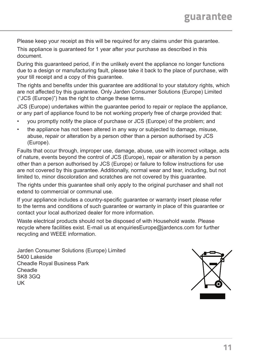Please keep your receipt as this will be required for any claims under this guarantee.

This appliance is guaranteed for 1 year after your purchase as described in this document.

During this guaranteed period, if in the unlikely event the appliance no longer functions due to a design or manufacturing fault, please take it back to the place of purchase, with your till receipt and a copy of this guarantee.

The rights and benefits under this guarantee are additional to your statutory rights, which are not affected by this guarantee. Only Jarden Consumer Solutions (Europe) Limited ("JCS (Europe)") has the right to change these terms.

JCS (Europe) undertakes within the guarantee period to repair or replace the appliance, or any part of appliance found to be not working properly free of charge provided that:

- you promptly notify the place of purchase or JCS (Europe) of the problem; and
- the appliance has not been altered in any way or subjected to damage, misuse, abuse, repair or alteration by a person other than a person authorised by JCS (Europe).

Faults that occur through, improper use, damage, abuse, use with incorrect voltage, acts of nature, events beyond the control of JCS (Europe), repair or alteration by a person other than a person authorised by JCS (Europe) or failure to follow instructions for use are not covered by this guarantee. Additionally, normal wear and tear, including, but not limited to, minor discoloration and scratches are not covered by this guarantee.

The rights under this guarantee shall only apply to the original purchaser and shall not extend to commercial or communal use.

If your appliance includes a country-specific guarantee or warranty insert please refer to the terms and conditions of such guarantee or warranty in place of this guarantee or contact your local authorized dealer for more information.

Waste electrical products should not be disposed of with Household waste. Please recycle where facilities exist. E-mail us at enquiriesEurope@jardencs.com for further recycling and WEEE information.

Jarden Consumer Solutions (Europe) Limited 5400 Lakeside Cheadle Royal Business Park Cheadle SK8 3GQ UK